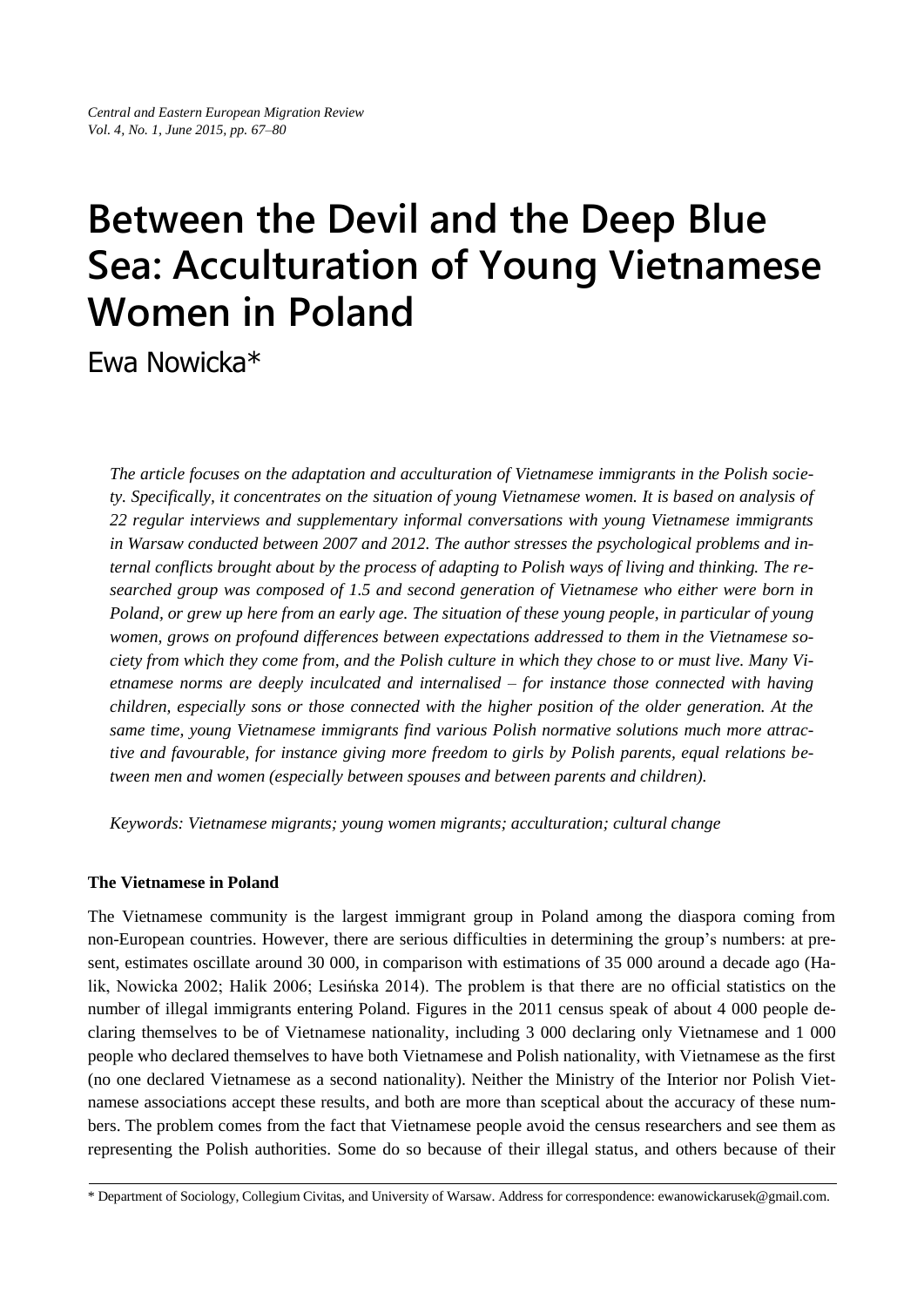# **Between the Devil and the Deep Blue Sea: Acculturation of Young Vietnamese Women in Poland**

Ewa Nowicka\*

*The article focuses on the adaptation and acculturation of Vietnamese immigrants in the Polish society. Specifically, it concentrates on the situation of young Vietnamese women. It is based on analysis of 22 regular interviews and supplementary informal conversations with young Vietnamese immigrants in Warsaw conducted between 2007 and 2012. The author stresses the psychological problems and internal conflicts brought about by the process of adapting to Polish ways of living and thinking. The researched group was composed of 1.5 and second generation of Vietnamese who either were born in Poland, or grew up here from an early age. The situation of these young people, in particular of young women, grows on profound differences between expectations addressed to them in the Vietnamese society from which they come from, and the Polish culture in which they chose to or must live. Many Vietnamese norms are deeply inculcated and internalised – for instance those connected with having children, especially sons or those connected with the higher position of the older generation. At the same time, young Vietnamese immigrants find various Polish normative solutions much more attractive and favourable, for instance giving more freedom to girls by Polish parents, equal relations between men and women (especially between spouses and between parents and children).*

*Keywords: Vietnamese migrants; young women migrants; acculturation; cultural change*

# **The Vietnamese in Poland**

The Vietnamese community is the largest immigrant group in Poland among the diaspora coming from non-European countries. However, there are serious difficulties in determining the group's numbers: at present, estimates oscillate around 30 000, in comparison with estimations of 35 000 around a decade ago (Halik, Nowicka 2002; Halik 2006; Lesińska 2014). The problem is that there are no official statistics on the number of illegal immigrants entering Poland. Figures in the 2011 census speak of about 4 000 people declaring themselves to be of Vietnamese nationality, including 3 000 declaring only Vietnamese and 1 000 people who declared themselves to have both Vietnamese and Polish nationality, with Vietnamese as the first (no one declared Vietnamese as a second nationality). Neither the Ministry of the Interior nor Polish Vietnamese associations accept these results, and both are more than sceptical about the accuracy of these numbers. The problem comes from the fact that Vietnamese people avoid the census researchers and see them as representing the Polish authorities. Some do so because of their illegal status, and others because of their

<sup>\*</sup> Department of Sociology, Collegium Civitas, and University of Warsaw. Address for correspondence: ewanowickarusek@gmail.com.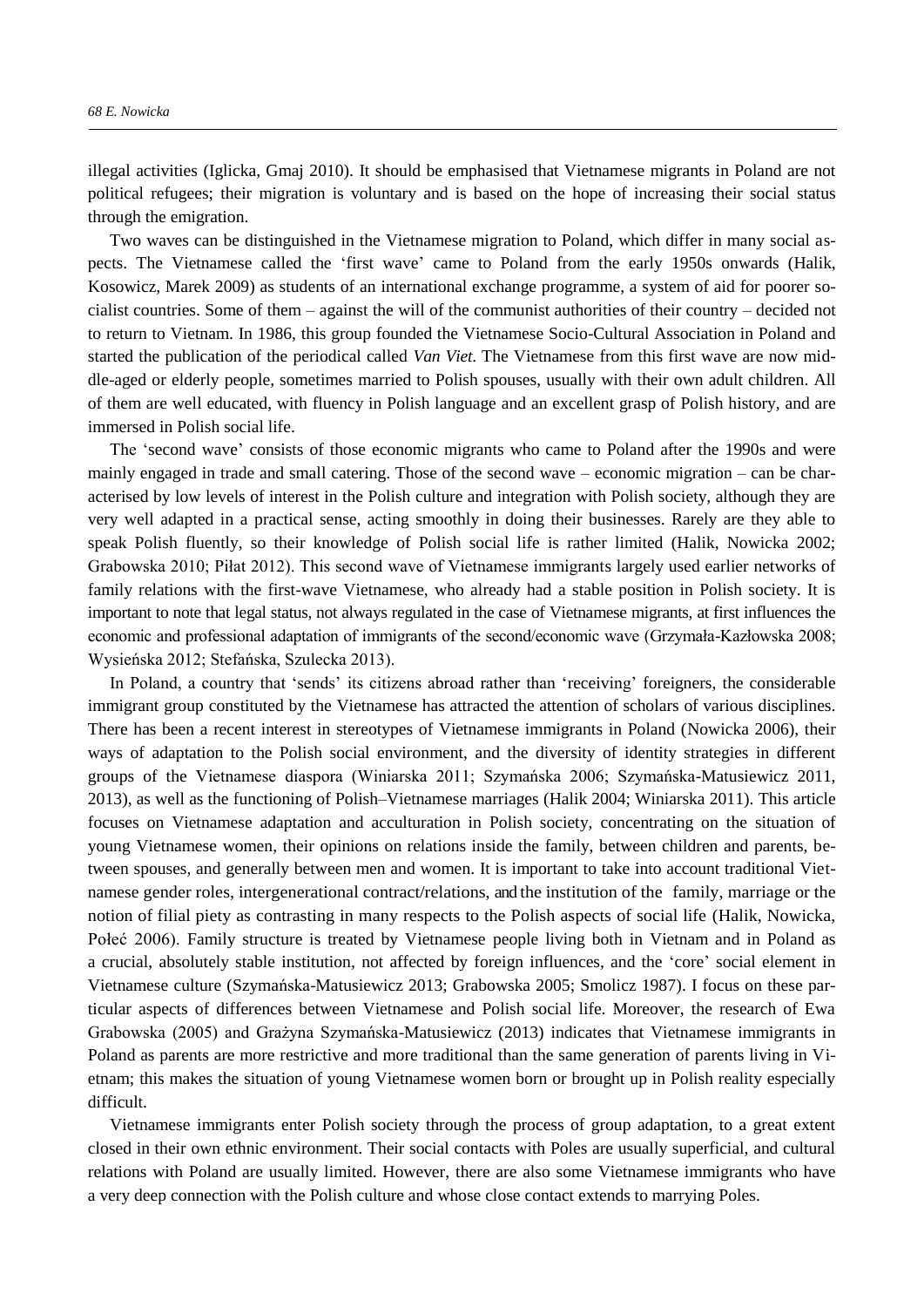illegal activities (Iglicka, Gmaj 2010). It should be emphasised that Vietnamese migrants in Poland are not political refugees; their migration is voluntary and is based on the hope of increasing their social status through the emigration.

Two waves can be distinguished in the Vietnamese migration to Poland, which differ in many social aspects. The Vietnamese called the 'first wave' came to Poland from the early 1950s onwards (Halik, Kosowicz, Marek 2009) as students of an international exchange programme, a system of aid for poorer socialist countries. Some of them – against the will of the communist authorities of their country – decided not to return to Vietnam. In 1986, this group founded the Vietnamese Socio-Cultural Association in Poland and started the publication of the periodical called *Van Viet*. The Vietnamese from this first wave are now middle-aged or elderly people, sometimes married to Polish spouses, usually with their own adult children. All of them are well educated, with fluency in Polish language and an excellent grasp of Polish history, and are immersed in Polish social life.

The 'second wave' consists of those economic migrants who came to Poland after the 1990s and were mainly engaged in trade and small catering. Those of the second wave – economic migration – can be characterised by low levels of interest in the Polish culture and integration with Polish society, although they are very well adapted in a practical sense, acting smoothly in doing their businesses. Rarely are they able to speak Polish fluently, so their knowledge of Polish social life is rather limited (Halik, Nowicka 2002; Grabowska 2010; Piłat 2012). This second wave of Vietnamese immigrants largely used earlier networks of family relations with the first-wave Vietnamese, who already had a stable position in Polish society. It is important to note that legal status, not always regulated in the case of Vietnamese migrants, at first influences the economic and professional adaptation of immigrants of the second/economic wave (Grzymała-Kazłowska 2008; Wysieńska 2012; Stefańska, Szulecka 2013).

 n Poland, a country that 'sends' its citizens abroad rather than 'receiving' foreigners, the considerable immigrant group constituted by the Vietnamese has attracted the attention of scholars of various disciplines. There has been a recent interest in stereotypes of Vietnamese immigrants in Poland (Nowicka 2006), their ways of adaptation to the Polish social environment, and the diversity of identity strategies in different groups of the Vietnamese diaspora (Winiarska 2011; Szymańska 2006; Szymańska-Matusiewicz 2011, 2013), as well as the functioning of Polish–Vietnamese marriages (Halik 2004; Winiarska 2011). This article focuses on Vietnamese adaptation and acculturation in Polish society, concentrating on the situation of young Vietnamese women, their opinions on relations inside the family, between children and parents, between spouses, and generally between men and women. It is important to take into account traditional Vietnamese gender roles, intergenerational contract/relations, and the institution of the family, marriage or the notion of filial piety as contrasting in many respects to the Polish aspects of social life (Halik, Nowicka, Połeć 2006). Family structure is treated by Vietnamese people living both in Vietnam and in Poland as a crucial, absolutely stable institution, not affected by foreign influences, and the 'core' social element in Vietnamese culture (Szymańska-Matusiewicz 2013; Grabowska 2005; Smolicz 1987). I focus on these particular aspects of differences between Vietnamese and Polish social life. Moreover, the research of Ewa Grabowska (2005) and Grażyna Szymańska-Matusiewicz (2013) indicates that Vietnamese immigrants in Poland as parents are more restrictive and more traditional than the same generation of parents living in Vietnam; this makes the situation of young Vietnamese women born or brought up in Polish reality especially difficult.

Vietnamese immigrants enter Polish society through the process of group adaptation, to a great extent closed in their own ethnic environment. Their social contacts with Poles are usually superficial, and cultural relations with Poland are usually limited. However, there are also some Vietnamese immigrants who have a very deep connection with the Polish culture and whose close contact extends to marrying Poles.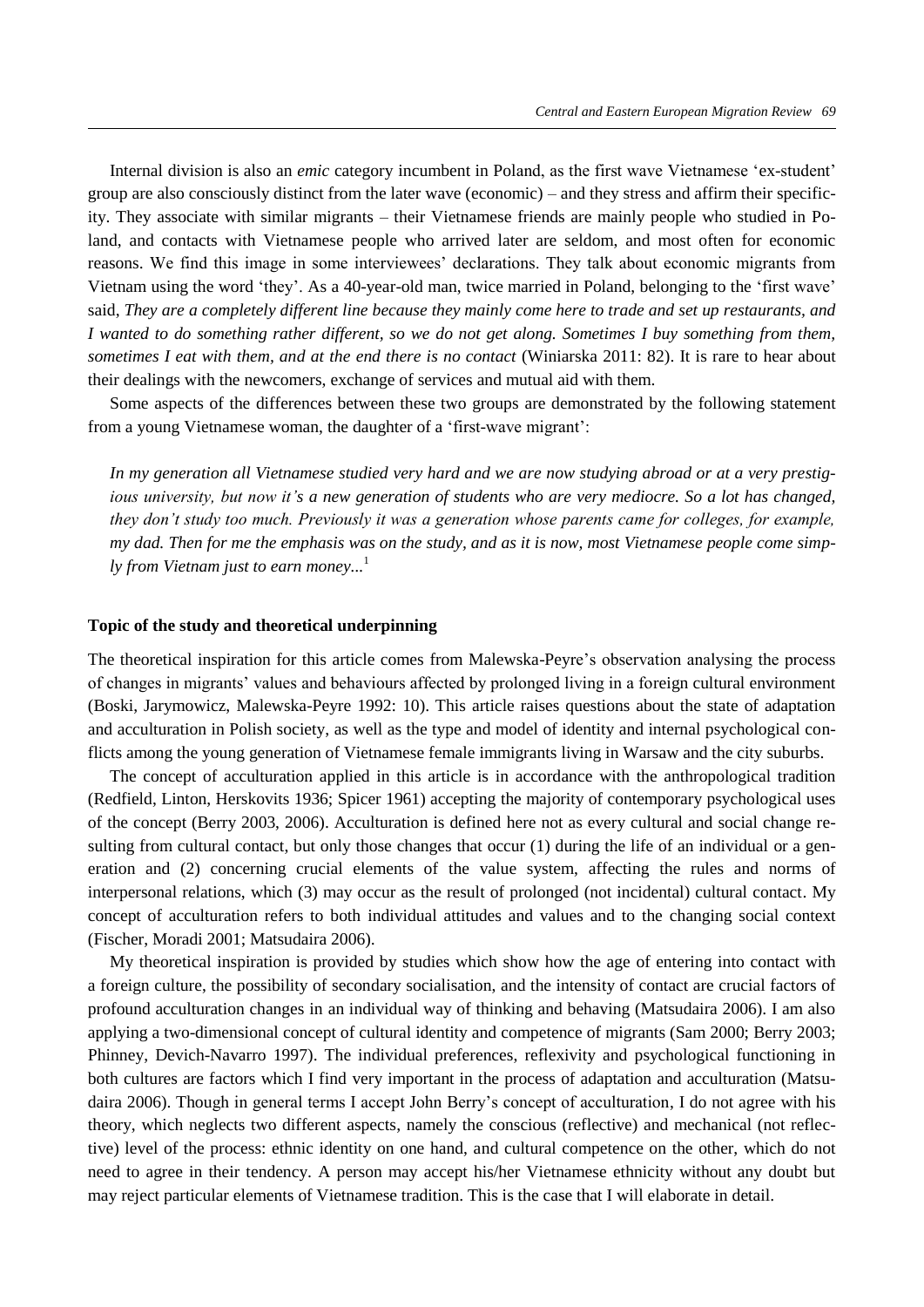Internal division is also an *emic* category incumbent in Poland, as the first wave Vietnamese 'ex-student' group are also consciously distinct from the later wave (economic) – and they stress and affirm their specificity. They associate with similar migrants – their Vietnamese friends are mainly people who studied in Poland, and contacts with Vietnamese people who arrived later are seldom, and most often for economic reasons. We find this image in some interviewees' declarations. They talk about economic migrants from Vietnam using the word 'they'. As a 40-year-old man, twice married in Poland, belonging to the 'first wave' said, *They are a completely different line because they mainly come here to trade and set up restaurants, and I wanted to do something rather different, so we do not get along. Sometimes I buy something from them, sometimes I eat with them, and at the end there is no contact* (Winiarska 2011: 82). It is rare to hear about their dealings with the newcomers, exchange of services and mutual aid with them.

Some aspects of the differences between these two groups are demonstrated by the following statement from a young Vietnamese woman, the daughter of a 'first-wave migrant':

*In my generation all Vietnamese studied very hard and we are now studying abroad or at a very prestigious university, but now it's a new generation of students who are very mediocre. So a lot has changed, they don't study too much. Previously it was a generation whose parents came for colleges, for example, my dad. Then for me the emphasis was on the study, and as it is now, most Vietnamese people come simply from Vietnam just to earn money...* 1

#### **Topic of the study and theoretical underpinning**

The theoretical inspiration for this article comes from Malewska-Peyre's observation analysing the process of changes in migrants' values and behaviours affected by prolonged living in a foreign cultural environment (Boski, Jarymowicz, Malewska-Peyre 1992: 10). This article raises questions about the state of adaptation and acculturation in Polish society, as well as the type and model of identity and internal psychological conflicts among the young generation of Vietnamese female immigrants living in Warsaw and the city suburbs.

The concept of acculturation applied in this article is in accordance with the anthropological tradition (Redfield, Linton, Herskovits 1936; Spicer 1961) accepting the majority of contemporary psychological uses of the concept (Berry 2003, 2006). Acculturation is defined here not as every cultural and social change resulting from cultural contact, but only those changes that occur (1) during the life of an individual or a generation and (2) concerning crucial elements of the value system, affecting the rules and norms of interpersonal relations, which (3) may occur as the result of prolonged (not incidental) cultural contact. My concept of acculturation refers to both individual attitudes and values and to the changing social context (Fischer, Moradi 2001; Matsudaira 2006).

My theoretical inspiration is provided by studies which show how the age of entering into contact with a foreign culture, the possibility of secondary socialisation, and the intensity of contact are crucial factors of profound acculturation changes in an individual way of thinking and behaving (Matsudaira 2006). I am also applying a two-dimensional concept of cultural identity and competence of migrants (Sam 2000; Berry 2003; Phinney, Devich-Navarro 1997). The individual preferences, reflexivity and psychological functioning in both cultures are factors which I find very important in the process of adaptation and acculturation (Matsudaira 2006). Though in general terms I accept John Berry's concept of acculturation, I do not agree with his theory, which neglects two different aspects, namely the conscious (reflective) and mechanical (not reflective) level of the process: ethnic identity on one hand, and cultural competence on the other, which do not need to agree in their tendency. A person may accept his/her Vietnamese ethnicity without any doubt but may reject particular elements of Vietnamese tradition. This is the case that I will elaborate in detail.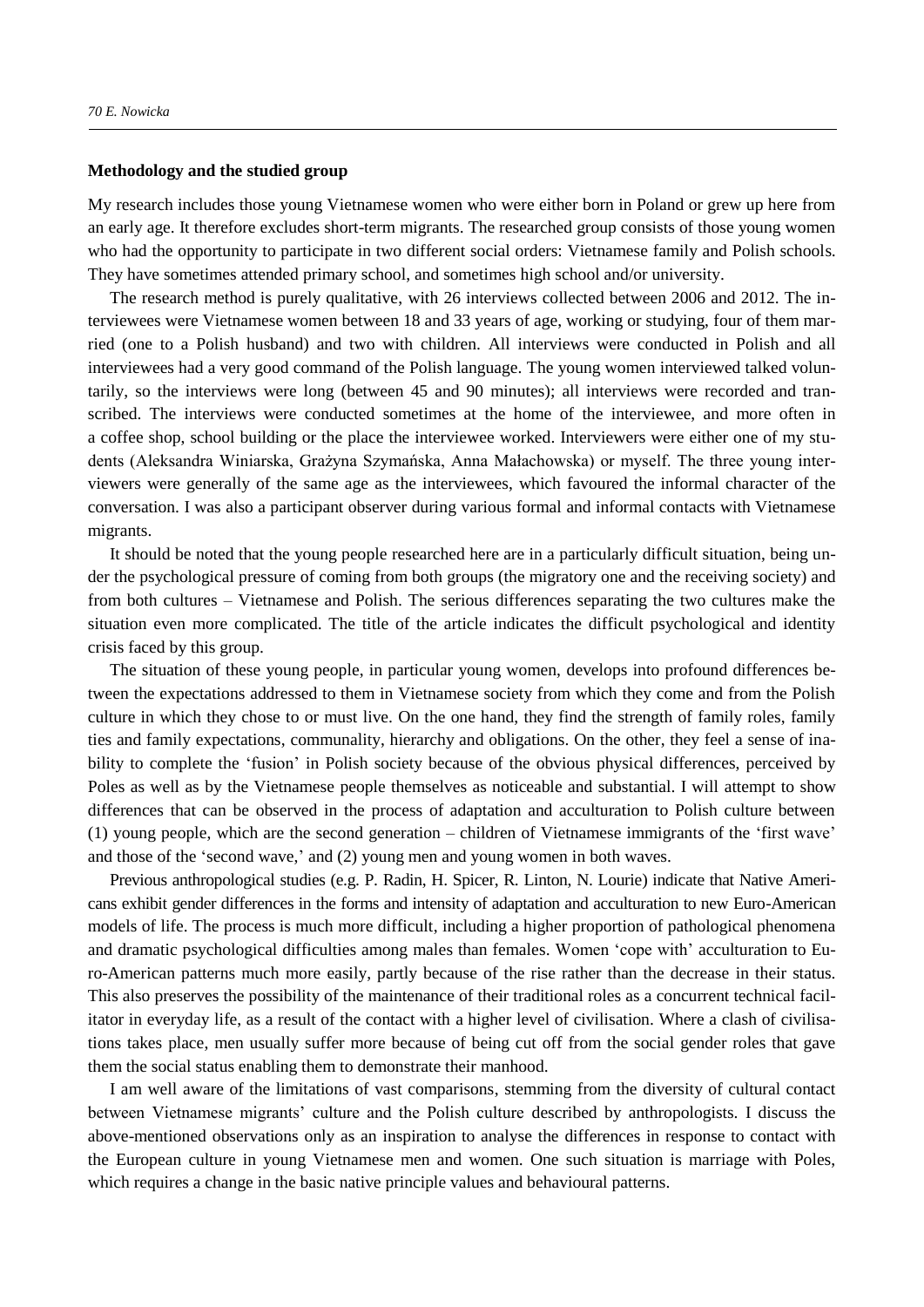#### **Methodology and the studied group**

My research includes those young Vietnamese women who were either born in Poland or grew up here from an early age. It therefore excludes short-term migrants. The researched group consists of those young women who had the opportunity to participate in two different social orders: Vietnamese family and Polish schools. They have sometimes attended primary school, and sometimes high school and/or university.

The research method is purely qualitative, with 26 interviews collected between 2006 and 2012. The interviewees were Vietnamese women between 18 and 33 years of age, working or studying, four of them married (one to a Polish husband) and two with children. All interviews were conducted in Polish and all interviewees had a very good command of the Polish language. The young women interviewed talked voluntarily, so the interviews were long (between 45 and 90 minutes); all interviews were recorded and transcribed. The interviews were conducted sometimes at the home of the interviewee, and more often in a coffee shop, school building or the place the interviewee worked. Interviewers were either one of my students (Aleksandra Winiarska, Grażyna Szymańska, Anna Małachowska) or myself. The three young interviewers were generally of the same age as the interviewees, which favoured the informal character of the conversation. I was also a participant observer during various formal and informal contacts with Vietnamese migrants.

It should be noted that the young people researched here are in a particularly difficult situation, being under the psychological pressure of coming from both groups (the migratory one and the receiving society) and from both cultures – Vietnamese and Polish. The serious differences separating the two cultures make the situation even more complicated. The title of the article indicates the difficult psychological and identity crisis faced by this group.

The situation of these young people, in particular young women, develops into profound differences between the expectations addressed to them in Vietnamese society from which they come and from the Polish culture in which they chose to or must live. On the one hand, they find the strength of family roles, family ties and family expectations, communality, hierarchy and obligations. On the other, they feel a sense of inability to complete the 'fusion' in Polish society because of the obvious physical differences, perceived by Poles as well as by the Vietnamese people themselves as noticeable and substantial. I will attempt to show differences that can be observed in the process of adaptation and acculturation to Polish culture between (1) young people, which are the second generation – children of Vietnamese immigrants of the 'first wave' and those of the 'second wave,' and (2) young men and young women in both waves.

Previous anthropological studies (e.g. P. Radin, H. Spicer, R. Linton, N. Lourie) indicate that Native Americans exhibit gender differences in the forms and intensity of adaptation and acculturation to new Euro-American models of life. The process is much more difficult, including a higher proportion of pathological phenomena and dramatic psychological difficulties among males than females. Women 'cope with' acculturation to Euro-American patterns much more easily, partly because of the rise rather than the decrease in their status. This also preserves the possibility of the maintenance of their traditional roles as a concurrent technical facilitator in everyday life, as a result of the contact with a higher level of civilisation. Where a clash of civilisations takes place, men usually suffer more because of being cut off from the social gender roles that gave them the social status enabling them to demonstrate their manhood.

I am well aware of the limitations of vast comparisons, stemming from the diversity of cultural contact between Vietnamese migrants' culture and the Polish culture described by anthropologists. I discuss the above-mentioned observations only as an inspiration to analyse the differences in response to contact with the European culture in young Vietnamese men and women. One such situation is marriage with Poles, which requires a change in the basic native principle values and behavioural patterns.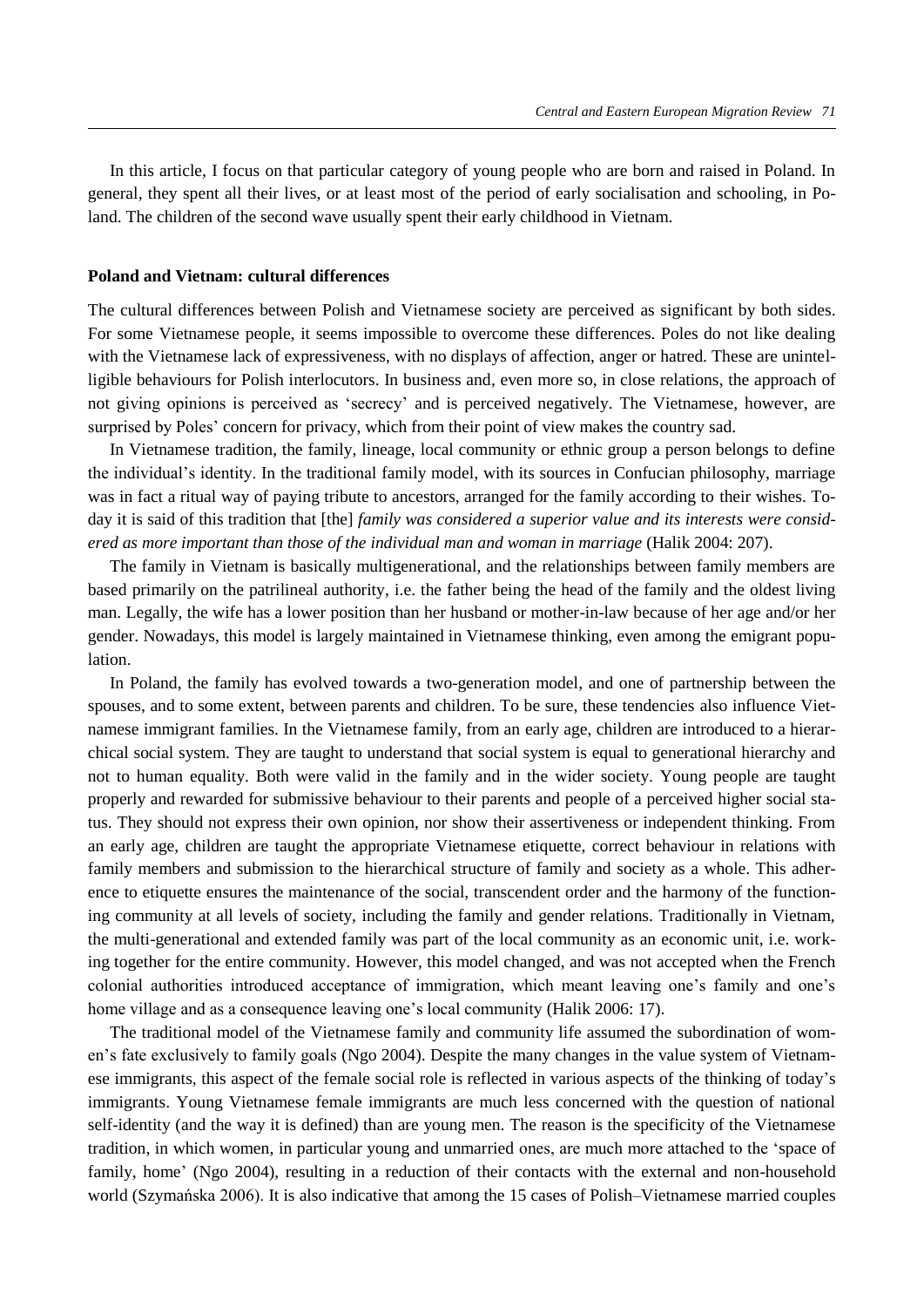In this article, I focus on that particular category of young people who are born and raised in Poland. In general, they spent all their lives, or at least most of the period of early socialisation and schooling, in Poland. The children of the second wave usually spent their early childhood in Vietnam.

#### **Poland and Vietnam: cultural differences**

The cultural differences between Polish and Vietnamese society are perceived as significant by both sides. For some Vietnamese people, it seems impossible to overcome these differences. Poles do not like dealing with the Vietnamese lack of expressiveness, with no displays of affection, anger or hatred. These are unintelligible behaviours for Polish interlocutors. In business and, even more so, in close relations, the approach of not giving opinions is perceived as 'secrecy' and is perceived negatively. The Vietnamese, however, are surprised by Poles' concern for privacy, which from their point of view makes the country sad.

In Vietnamese tradition, the family, lineage, local community or ethnic group a person belongs to define the individual's identity. n the traditional family model, with its sources in Confucian philosophy, marriage was in fact a ritual way of paying tribute to ancestors, arranged for the family according to their wishes. Today it is said of this tradition that [the] *family was considered a superior value and its interests were considered as more important than those of the individual man and woman in marriage* (Halik 2004: 207).

The family in Vietnam is basically multigenerational, and the relationships between family members are based primarily on the patrilineal authority, i.e. the father being the head of the family and the oldest living man. Legally, the wife has a lower position than her husband or mother-in-law because of her age and/or her gender. Nowadays, this model is largely maintained in Vietnamese thinking, even among the emigrant population.

In Poland, the family has evolved towards a two-generation model, and one of partnership between the spouses, and to some extent, between parents and children. To be sure, these tendencies also influence Vietnamese immigrant families. In the Vietnamese family, from an early age, children are introduced to a hierarchical social system. They are taught to understand that social system is equal to generational hierarchy and not to human equality. Both were valid in the family and in the wider society. Young people are taught properly and rewarded for submissive behaviour to their parents and people of a perceived higher social status. They should not express their own opinion, nor show their assertiveness or independent thinking. From an early age, children are taught the appropriate Vietnamese etiquette, correct behaviour in relations with family members and submission to the hierarchical structure of family and society as a whole. This adherence to etiquette ensures the maintenance of the social, transcendent order and the harmony of the functioning community at all levels of society, including the family and gender relations. Traditionally in Vietnam, the multi-generational and extended family was part of the local community as an economic unit, i.e. working together for the entire community. However, this model changed, and was not accepted when the French colonial authorities introduced acceptance of immigration, which meant leaving one's family and one's home village and as a consequence leaving one's local community (Halik 2006: 17).

The traditional model of the Vietnamese family and community life assumed the subordination of women's fate exclusively to family goals (Ngo 2004). Despite the many changes in the value system of Vietnamese immigrants, this aspect of the female social role is reflected in various aspects of the thinking of today's immigrants. Young Vietnamese female immigrants are much less concerned with the question of national self-identity (and the way it is defined) than are young men. The reason is the specificity of the Vietnamese tradition, in which women, in particular young and unmarried ones, are much more attached to the 'space of family, home' (Ngo 2004), resulting in a reduction of their contacts with the external and non-household world (Szymańska 2006). It is also indicative that among the 15 cases of Polish–Vietnamese married couples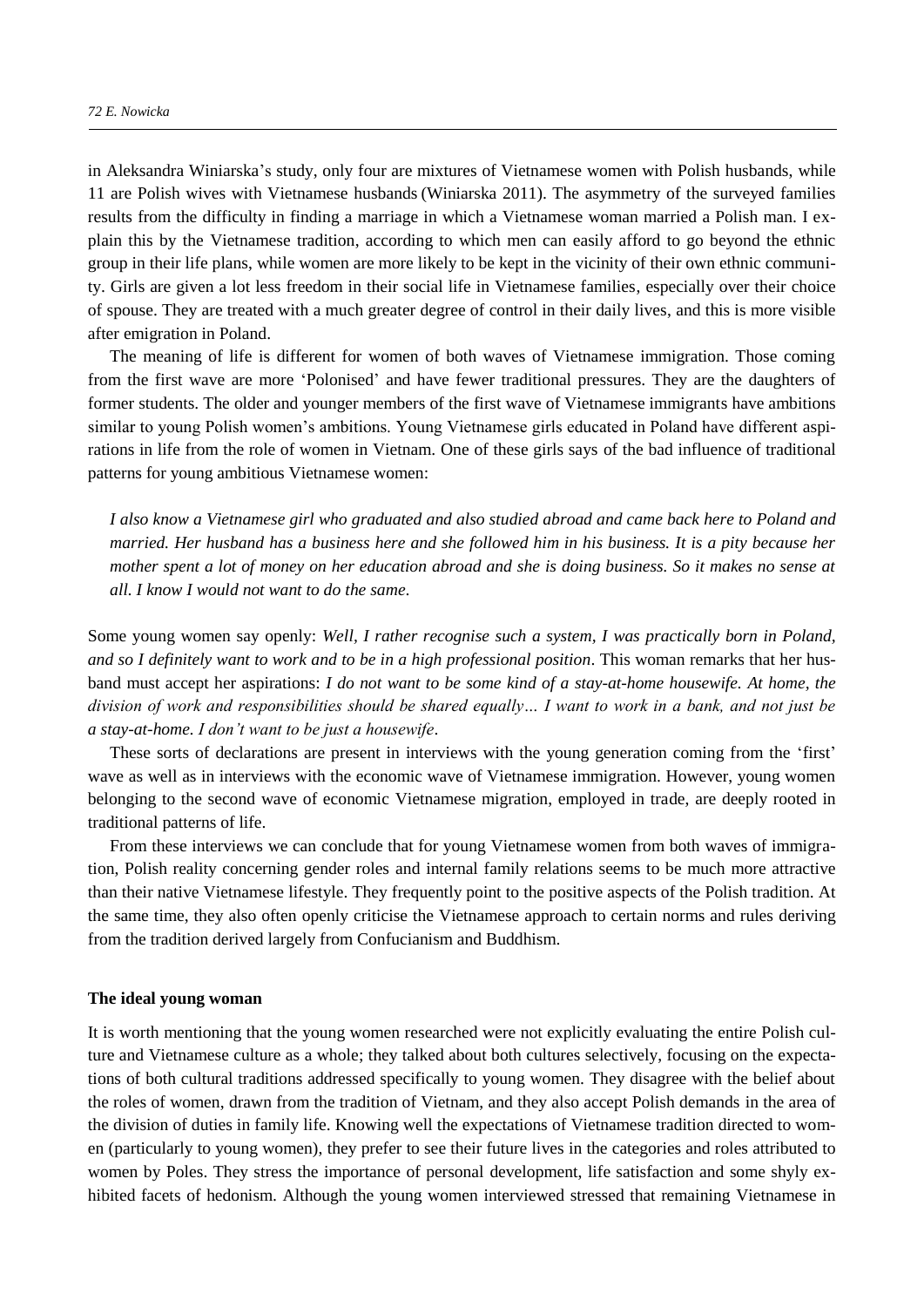in Aleksandra Winiarska's study, only four are mixtures of Vietnamese women with Polish husbands, while 11 are Polish wives with Vietnamese husbands (Winiarska 2011). The asymmetry of the surveyed families results from the difficulty in finding a marriage in which a Vietnamese woman married a Polish man. I explain this by the Vietnamese tradition, according to which men can easily afford to go beyond the ethnic group in their life plans, while women are more likely to be kept in the vicinity of their own ethnic community. Girls are given a lot less freedom in their social life in Vietnamese families, especially over their choice of spouse. They are treated with a much greater degree of control in their daily lives, and this is more visible after emigration in Poland.

The meaning of life is different for women of both waves of Vietnamese immigration. Those coming from the first wave are more 'Polonised' and have fewer traditional pressures. They are the daughters of former students. The older and younger members of the first wave of Vietnamese immigrants have ambitions similar to young Polish women's ambitions. Young Vietnamese girls educated in Poland have different aspirations in life from the role of women in Vietnam. One of these girls says of the bad influence of traditional patterns for young ambitious Vietnamese women:

*I also know a Vietnamese girl who graduated and also studied abroad and came back here to Poland and married. Her husband has a business here and she followed him in his business. It is a pity because her mother spent a lot of money on her education abroad and she is doing business. So it makes no sense at all. I know I would not want to do the same*.

Some young women say openly: *Well, I rather recognise such a system, I was practically born in Poland, and so I definitely want to work and to be in a high professional position*. This woman remarks that her husband must accept her aspirations: *I do not want to be some kind of a stay-at-home housewife. At home, the division of work and responsibilities should be shared equally… I want to work in a bank, and not just be a stay-at-home. I don't want to be just a housewife*.

These sorts of declarations are present in interviews with the young generation coming from the 'first' wave as well as in interviews with the economic wave of Vietnamese immigration. However, young women belonging to the second wave of economic Vietnamese migration, employed in trade, are deeply rooted in traditional patterns of life.

From these interviews we can conclude that for young Vietnamese women from both waves of immigration, Polish reality concerning gender roles and internal family relations seems to be much more attractive than their native Vietnamese lifestyle. They frequently point to the positive aspects of the Polish tradition. At the same time, they also often openly criticise the Vietnamese approach to certain norms and rules deriving from the tradition derived largely from Confucianism and Buddhism.

#### **The ideal young woman**

It is worth mentioning that the young women researched were not explicitly evaluating the entire Polish culture and Vietnamese culture as a whole; they talked about both cultures selectively, focusing on the expectations of both cultural traditions addressed specifically to young women. They disagree with the belief about the roles of women, drawn from the tradition of Vietnam, and they also accept Polish demands in the area of the division of duties in family life. Knowing well the expectations of Vietnamese tradition directed to women (particularly to young women), they prefer to see their future lives in the categories and roles attributed to women by Poles. They stress the importance of personal development, life satisfaction and some shyly exhibited facets of hedonism. Although the young women interviewed stressed that remaining Vietnamese in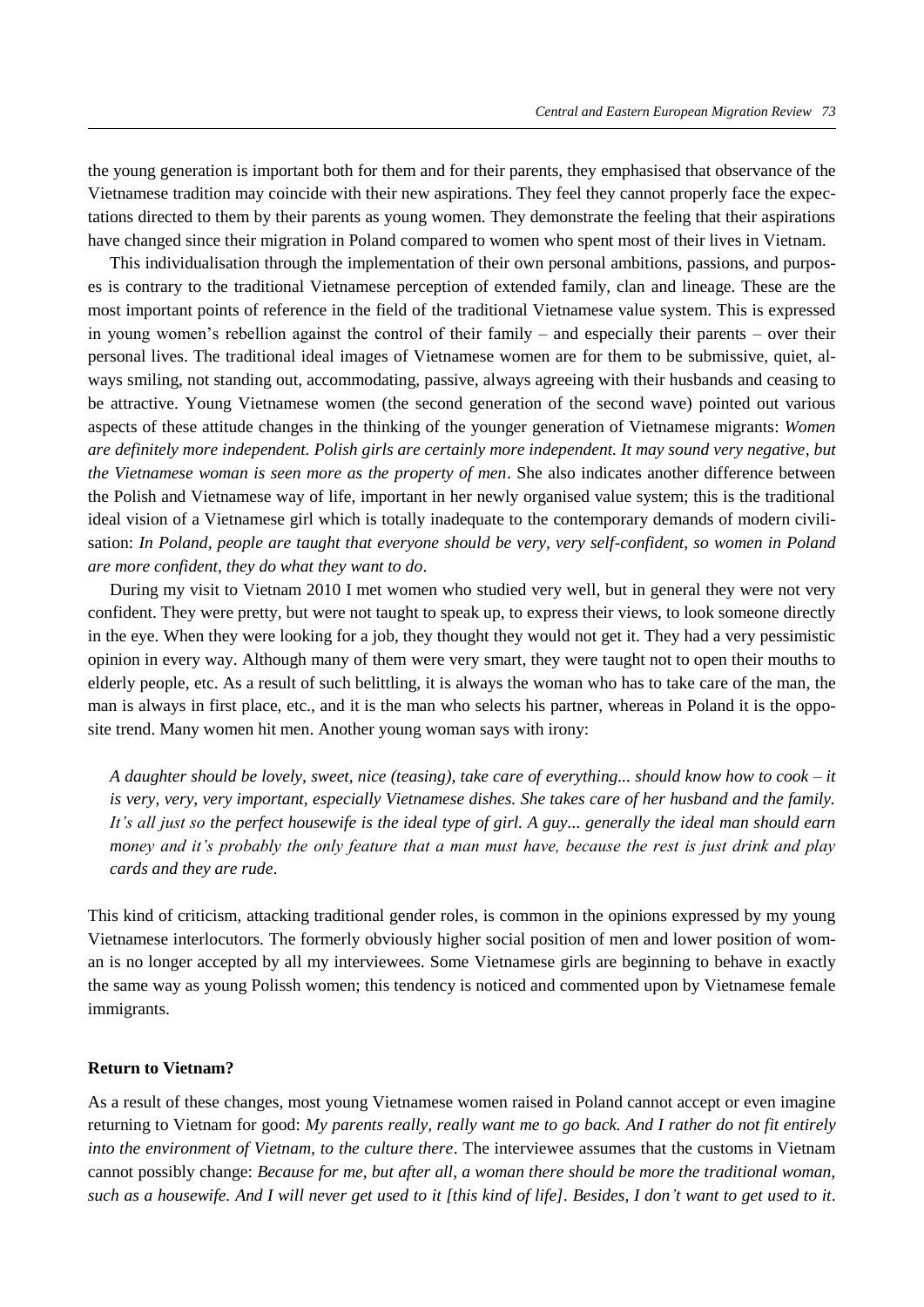the young generation is important both for them and for their parents, they emphasised that observance of the Vietnamese tradition may coincide with their new aspirations. They feel they cannot properly face the expectations directed to them by their parents as young women. They demonstrate the feeling that their aspirations have changed since their migration in Poland compared to women who spent most of their lives in Vietnam.

This individualisation through the implementation of their own personal ambitions, passions, and purposes is contrary to the traditional Vietnamese perception of extended family, clan and lineage. These are the most important points of reference in the field of the traditional Vietnamese value system. This is expressed in young women's rebellion against the control of their family – and especially their parents – over their personal lives. The traditional ideal images of Vietnamese women are for them to be submissive, quiet, always smiling, not standing out, accommodating, passive, always agreeing with their husbands and ceasing to be attractive. Young Vietnamese women (the second generation of the second wave) pointed out various aspects of these attitude changes in the thinking of the younger generation of Vietnamese migrants: *Women are definitely more independent. Polish girls are certainly more independent. It may sound very negative, but the Vietnamese woman is seen more as the property of men*. She also indicates another difference between the Polish and Vietnamese way of life, important in her newly organised value system; this is the traditional ideal vision of a Vietnamese girl which is totally inadequate to the contemporary demands of modern civilisation: *In Poland, people are taught that everyone should be very, very self-confident, so women in Poland are more confident, they do what they want to do*.

During my visit to Vietnam 2010 I met women who studied very well, but in general they were not very confident. They were pretty, but were not taught to speak up, to express their views, to look someone directly in the eye. When they were looking for a job, they thought they would not get it. They had a very pessimistic opinion in every way. Although many of them were very smart, they were taught not to open their mouths to elderly people, etc. As a result of such belittling, it is always the woman who has to take care of the man, the man is always in first place, etc., and it is the man who selects his partner, whereas in Poland it is the opposite trend. Many women hit men. Another young woman says with irony:

*A daughter should be lovely, sweet, nice (teasing), take care of everything... should know how to cook – it is very, very, very important, especially Vietnamese dishes. She takes care of her husband and the family. It's all just so the perfect housewife is the ideal type of girl. A guy... generally the ideal man should earn money and it's probably the only feature that a man must have, because the rest is just drink and play cards and they are rude*.

This kind of criticism, attacking traditional gender roles, is common in the opinions expressed by my young Vietnamese interlocutors. The formerly obviously higher social position of men and lower position of woman is no longer accepted by all my interviewees. Some Vietnamese girls are beginning to behave in exactly the same way as young Polissh women; this tendency is noticed and commented upon by Vietnamese female immigrants.

## **Return to Vietnam?**

As a result of these changes, most young Vietnamese women raised in Poland cannot accept or even imagine returning to Vietnam for good: *My parents really, really want me to go back. And I rather do not fit entirely into the environment of Vietnam, to the culture there*. The interviewee assumes that the customs in Vietnam cannot possibly change: *Because for me, but after all, a woman there should be more the traditional woman, such as a housewife. And I will never get used to it [this kind of life]. Besides, I don't want to get used to it*.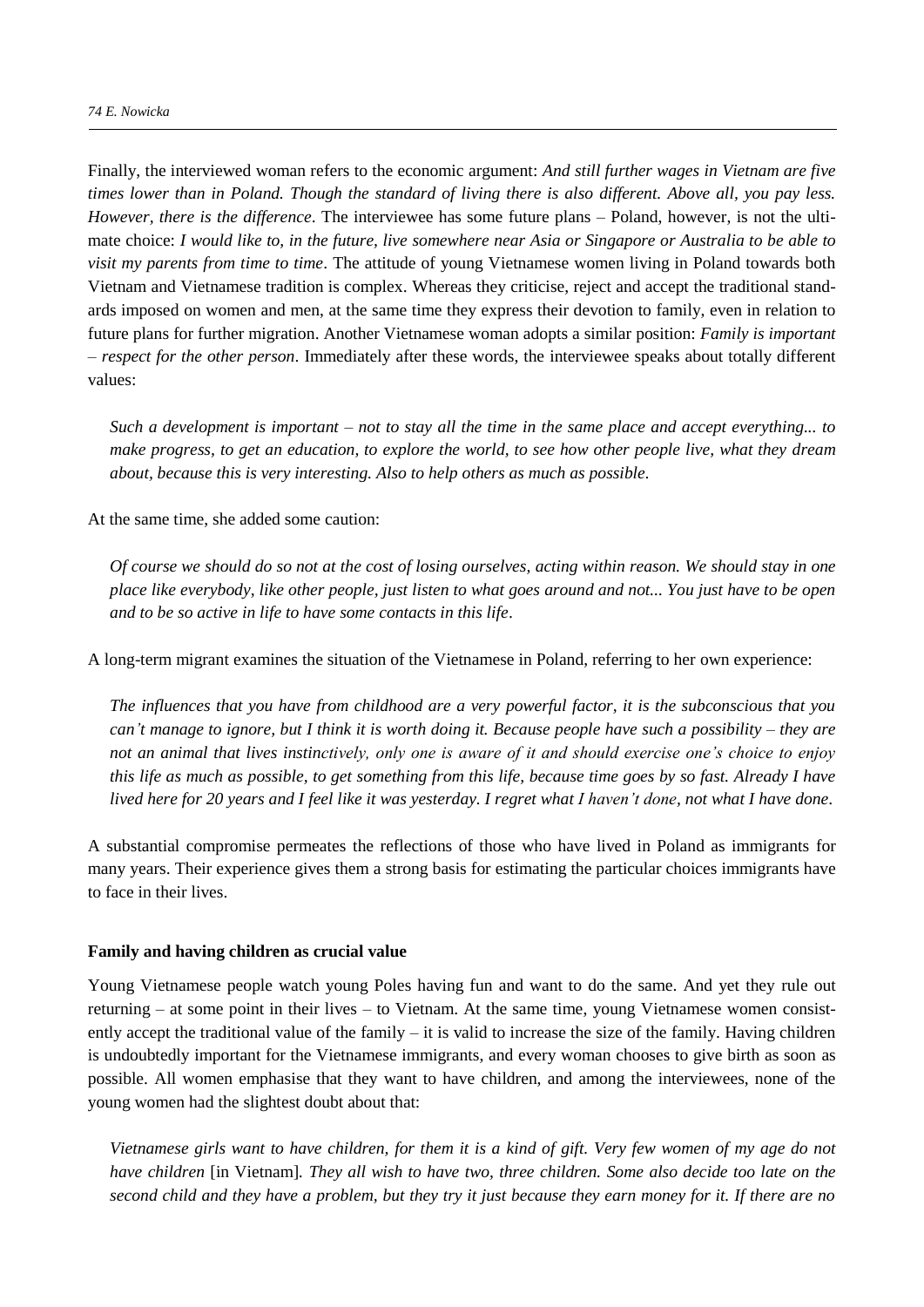Finally, the interviewed woman refers to the economic argument: *And still further wages in Vietnam are five times lower than in Poland. Though the standard of living there is also different. Above all, you pay less. However, there is the difference*. The interviewee has some future plans – Poland, however, is not the ultimate choice: *I would like to, in the future, live somewhere near Asia or Singapore or Australia to be able to visit my parents from time to time*. The attitude of young Vietnamese women living in Poland towards both Vietnam and Vietnamese tradition is complex. Whereas they criticise, reject and accept the traditional standards imposed on women and men, at the same time they express their devotion to family, even in relation to future plans for further migration. Another Vietnamese woman adopts a similar position: *Family is important – respect for the other person*. Immediately after these words, the interviewee speaks about totally different values:

*Such a development is important – not to stay all the time in the same place and accept everything... to make progress, to get an education, to explore the world, to see how other people live, what they dream about, because this is very interesting. Also to help others as much as possible.*

At the same time, she added some caution:

*Of course we should do so not at the cost of losing ourselves, acting within reason. We should stay in one place like everybody, like other people, just listen to what goes around and not... You just have to be open and to be so active in life to have some contacts in this life*.

A long-term migrant examines the situation of the Vietnamese in Poland, referring to her own experience:

*The influences that you have from childhood are a very powerful factor, it is the subconscious that you can't manage to ignore, but I think it is worth doing it. Because people have such a possibility – they are not an animal that lives instinctively, only one is aware of it and should exercise one's choice to enjoy this life as much as possible, to get something from this life, because time goes by so fast. Already I have lived here for 20 years and I feel like it was yesterday. I regret what I haven't done, not what I have done*.

A substantial compromise permeates the reflections of those who have lived in Poland as immigrants for many years. Their experience gives them a strong basis for estimating the particular choices immigrants have to face in their lives.

#### **Family and having children as crucial value**

Young Vietnamese people watch young Poles having fun and want to do the same. And yet they rule out returning – at some point in their lives – to Vietnam. At the same time, young Vietnamese women consistently accept the traditional value of the family – it is valid to increase the size of the family. Having children is undoubtedly important for the Vietnamese immigrants, and every woman chooses to give birth as soon as possible. All women emphasise that they want to have children, and among the interviewees, none of the young women had the slightest doubt about that:

*Vietnamese girls want to have children, for them it is a kind of gift. Very few women of my age do not have children* [in Vietnam]*. They all wish to have two, three children. Some also decide too late on the second child and they have a problem, but they try it just because they earn money for it. If there are no*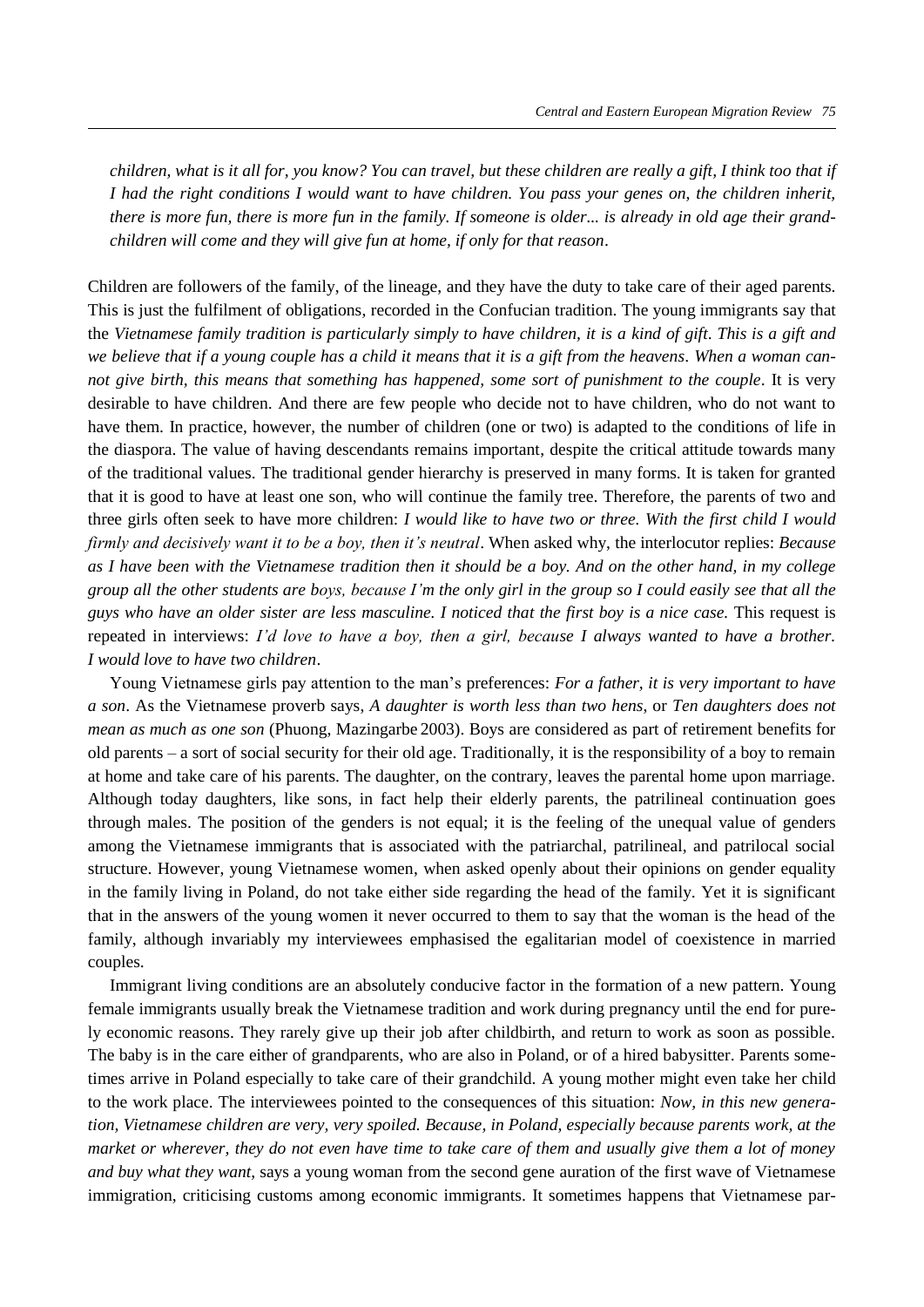*children, what is it all for, you know? You can travel, but these children are really a gift. I think too that if I had the right conditions I would want to have children. You pass your genes on, the children inherit, there is more fun, there is more fun in the family. If someone is older... is already in old age their grandchildren will come and they will give fun at home, if only for that reason*.

Children are followers of the family, of the lineage, and they have the duty to take care of their aged parents. This is just the fulfilment of obligations, recorded in the Confucian tradition. The young immigrants say that the *Vietnamese family tradition is particularly simply to have children, it is a kind of gift*. *This is a gift and we believe that if a young couple has a child it means that it is a gift from the heavens. When a woman cannot give birth, this means that something has happened, some sort of punishment to the couple*. It is very desirable to have children. And there are few people who decide not to have children, who do not want to have them. In practice, however, the number of children (one or two) is adapted to the conditions of life in the diaspora. The value of having descendants remains important, despite the critical attitude towards many of the traditional values. The traditional gender hierarchy is preserved in many forms. It is taken for granted that it is good to have at least one son, who will continue the family tree. Therefore, the parents of two and three girls often seek to have more children: *I would like to have two or three. With the first child I would firmly and decisively want it to be a boy, then it's neutral*. When asked why, the interlocutor replies: *Because as I have been with the Vietnamese tradition then it should be a boy. And on the other hand, in my college group all the other students are boys, because I'm the only girl in the group so I could easily see that all the guys who have an older sister are less masculine. I noticed that the first boy is a nice case.* This request is repeated in interviews: *I'd love to have a boy, then a girl, because I always wanted to have a brother. I would love to have two children*.

Young Vietnamese girls pay attention to the man's preferences: *For a father, it is very important to have a son*. As the Vietnamese proverb says, *A daughter is worth less than two hens*, or *Ten daughters does not mean as much as one son* (Phuong, Mazingarbe 2003). Boys are considered as part of retirement benefits for old parents – a sort of social security for their old age. Traditionally, it is the responsibility of a boy to remain at home and take care of his parents. The daughter, on the contrary, leaves the parental home upon marriage. Although today daughters, like sons, in fact help their elderly parents, the patrilineal continuation goes through males. The position of the genders is not equal; it is the feeling of the unequal value of genders among the Vietnamese immigrants that is associated with the patriarchal, patrilineal, and patrilocal social structure. However, young Vietnamese women, when asked openly about their opinions on gender equality in the family living in Poland, do not take either side regarding the head of the family. Yet it is significant that in the answers of the young women it never occurred to them to say that the woman is the head of the family, although invariably my interviewees emphasised the egalitarian model of coexistence in married couples.

Immigrant living conditions are an absolutely conducive factor in the formation of a new pattern. Young female immigrants usually break the Vietnamese tradition and work during pregnancy until the end for purely economic reasons. They rarely give up their job after childbirth, and return to work as soon as possible. The baby is in the care either of grandparents, who are also in Poland, or of a hired babysitter. Parents sometimes arrive in Poland especially to take care of their grandchild. A young mother might even take her child to the work place. The interviewees pointed to the consequences of this situation: *Now, in this new generation, Vietnamese children are very, very spoiled. Because, in Poland, especially because parents work, at the market or wherever, they do not even have time to take care of them and usually give them a lot of money and buy what they want*, says a young woman from the second gene auration of the first wave of Vietnamese immigration, criticising customs among economic immigrants. It sometimes happens that Vietnamese par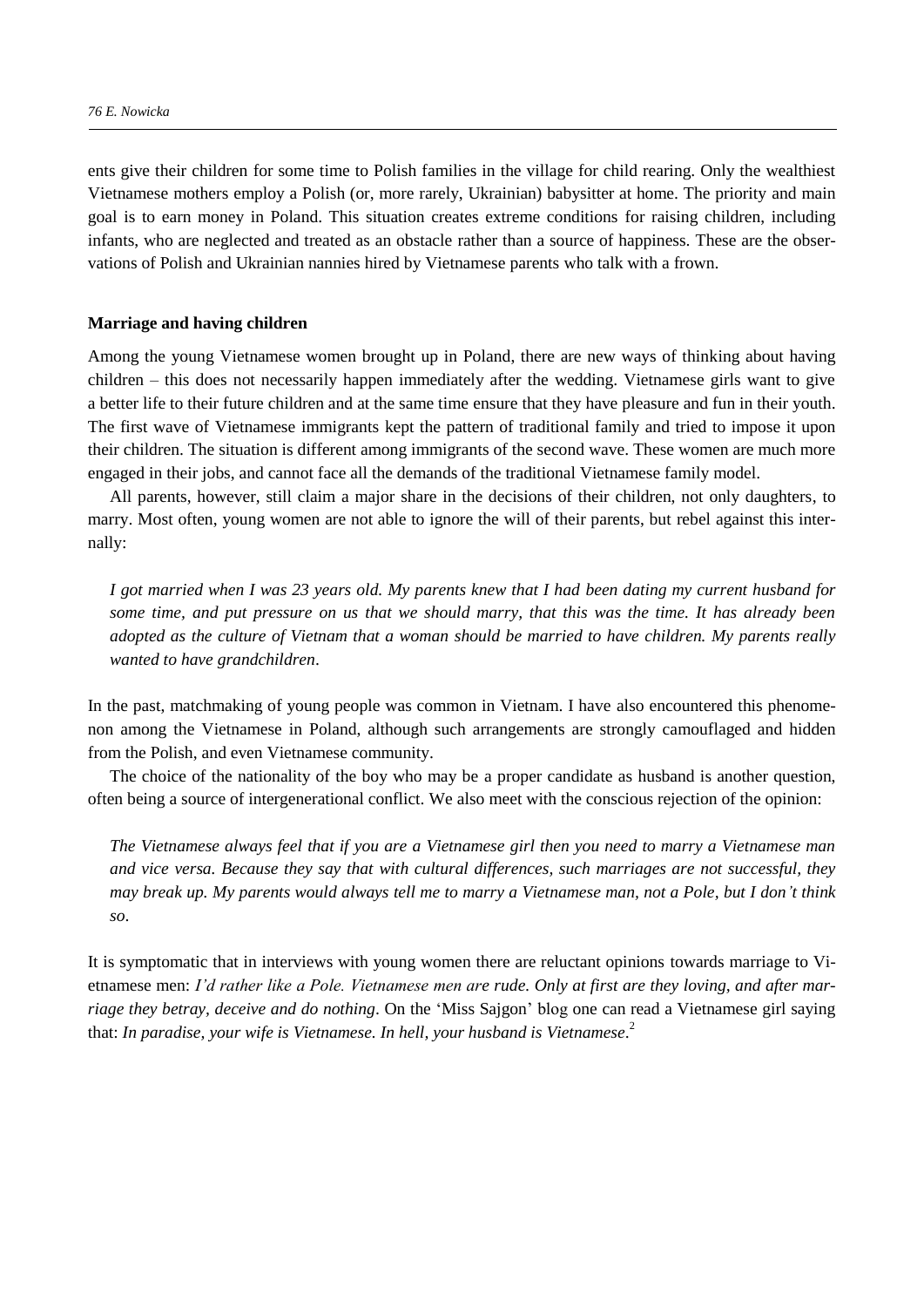ents give their children for some time to Polish families in the village for child rearing. Only the wealthiest Vietnamese mothers employ a Polish (or, more rarely, Ukrainian) babysitter at home. The priority and main goal is to earn money in Poland. This situation creates extreme conditions for raising children, including infants, who are neglected and treated as an obstacle rather than a source of happiness. These are the observations of Polish and Ukrainian nannies hired by Vietnamese parents who talk with a frown.

#### **Marriage and having children**

Among the young Vietnamese women brought up in Poland, there are new ways of thinking about having children – this does not necessarily happen immediately after the wedding. Vietnamese girls want to give a better life to their future children and at the same time ensure that they have pleasure and fun in their youth. The first wave of Vietnamese immigrants kept the pattern of traditional family and tried to impose it upon their children. The situation is different among immigrants of the second wave. These women are much more engaged in their jobs, and cannot face all the demands of the traditional Vietnamese family model.

All parents, however, still claim a major share in the decisions of their children, not only daughters, to marry. Most often, young women are not able to ignore the will of their parents, but rebel against this internally:

*I got married when I was 23 years old. My parents knew that I had been dating my current husband for some time, and put pressure on us that we should marry, that this was the time. It has already been adopted as the culture of Vietnam that a woman should be married to have children. My parents really wanted to have grandchildren*.

In the past, matchmaking of young people was common in Vietnam. I have also encountered this phenomenon among the Vietnamese in Poland, although such arrangements are strongly camouflaged and hidden from the Polish, and even Vietnamese community.

The choice of the nationality of the boy who may be a proper candidate as husband is another question, often being a source of intergenerational conflict. We also meet with the conscious rejection of the opinion:

*The Vietnamese always feel that if you are a Vietnamese girl then you need to marry a Vietnamese man and vice versa. Because they say that with cultural differences, such marriages are not successful, they may break up. My parents would always tell me to marry a Vietnamese man, not a Pole, but I don't think so*.

It is symptomatic that in interviews with young women there are reluctant opinions towards marriage to Vietnamese men: *I'd rather like a Pole. Vietnamese men are rude. Only at first are they loving, and after marriage they betray, deceive and do nothing*. On the 'Miss Sajgon' blog one can read a Vietnamese girl saying that: *In paradise, your wife is Vietnamese. In hell, your husband is Vietnamese*. 2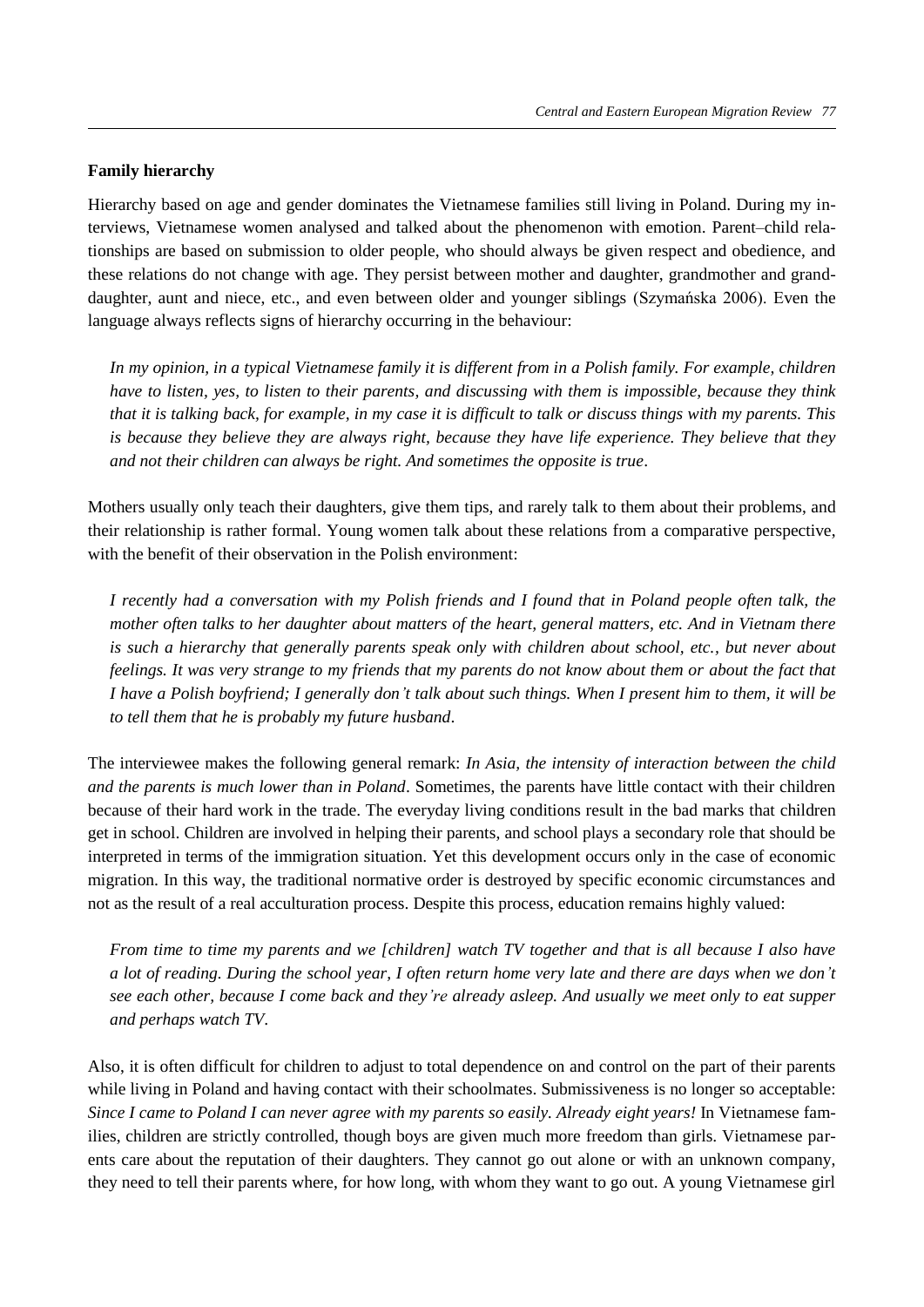# **Family hierarchy**

Hierarchy based on age and gender dominates the Vietnamese families still living in Poland. During my interviews, Vietnamese women analysed and talked about the phenomenon with emotion. Parent–child relationships are based on submission to older people, who should always be given respect and obedience, and these relations do not change with age. They persist between mother and daughter, grandmother and granddaughter, aunt and niece, etc., and even between older and younger siblings (Szymańska 2006). Even the language always reflects signs of hierarchy occurring in the behaviour:

*In my opinion, in a typical Vietnamese family it is different from in a Polish family. For example, children have to listen, yes, to listen to their parents, and discussing with them is impossible, because they think that it is talking back, for example, in my case it is difficult to talk or discuss things with my parents. This is because they believe they are always right, because they have life experience. They believe that they and not their children can always be right. And sometimes the opposite is true*.

Mothers usually only teach their daughters, give them tips, and rarely talk to them about their problems, and their relationship is rather formal. Young women talk about these relations from a comparative perspective, with the benefit of their observation in the Polish environment:

*I recently had a conversation with my Polish friends and I found that in Poland people often talk, the mother often talks to her daughter about matters of the heart, general matters, etc. And in Vietnam there is such a hierarchy that generally parents speak only with children about school, etc., but never about feelings. It was very strange to my friends that my parents do not know about them or about the fact that I have a Polish boyfriend; I generally don't talk about such things. When I present him to them, it will be to tell them that he is probably my future husband*.

The interviewee makes the following general remark: *In Asia, the intensity of interaction between the child and the parents is much lower than in Poland*. Sometimes, the parents have little contact with their children because of their hard work in the trade. The everyday living conditions result in the bad marks that children get in school. Children are involved in helping their parents, and school plays a secondary role that should be interpreted in terms of the immigration situation. Yet this development occurs only in the case of economic migration. In this way, the traditional normative order is destroyed by specific economic circumstances and not as the result of a real acculturation process. Despite this process, education remains highly valued:

*From time to time my parents and we [children] watch TV together and that is all because I also have a lot of reading. During the school year, I often return home very late and there are days when we don't see each other, because I come back and they're already asleep. And usually we meet only to eat supper and perhaps watch TV*.

Also, it is often difficult for children to adjust to total dependence on and control on the part of their parents while living in Poland and having contact with their schoolmates. Submissiveness is no longer so acceptable: *Since I came to Poland I can never agree with my parents so easily. Already eight years!* In Vietnamese families, children are strictly controlled, though boys are given much more freedom than girls. Vietnamese parents care about the reputation of their daughters. They cannot go out alone or with an unknown company, they need to tell their parents where, for how long, with whom they want to go out. A young Vietnamese girl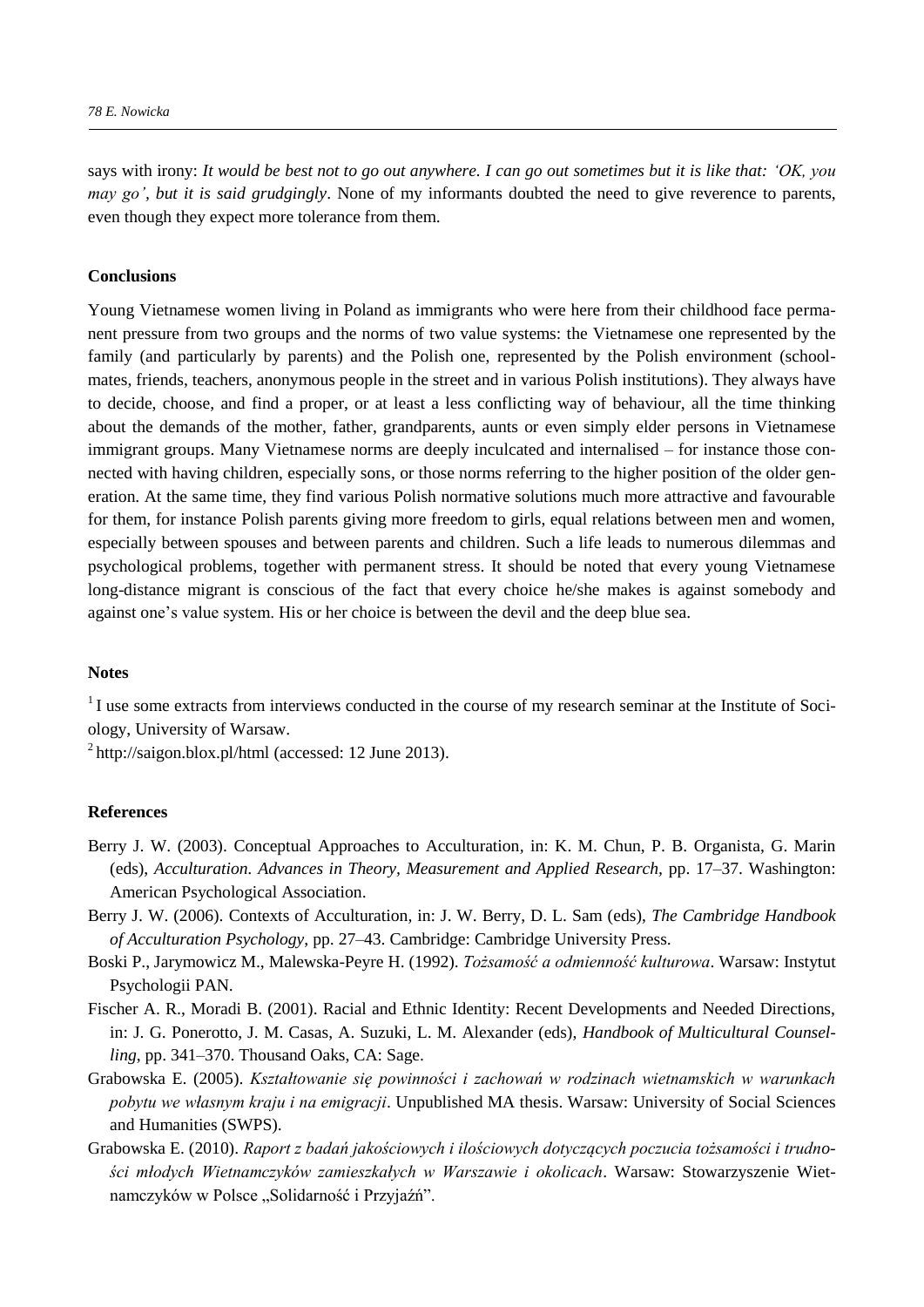says with irony: *It would be best not to go out anywhere. I can go out sometimes but it is like that: 'OK, you may go', but it is said grudgingly*. None of my informants doubted the need to give reverence to parents, even though they expect more tolerance from them.

#### **Conclusions**

Young Vietnamese women living in Poland as immigrants who were here from their childhood face permanent pressure from two groups and the norms of two value systems: the Vietnamese one represented by the family (and particularly by parents) and the Polish one, represented by the Polish environment (schoolmates, friends, teachers, anonymous people in the street and in various Polish institutions). They always have to decide, choose, and find a proper, or at least a less conflicting way of behaviour, all the time thinking about the demands of the mother, father, grandparents, aunts or even simply elder persons in Vietnamese immigrant groups. Many Vietnamese norms are deeply inculcated and internalised – for instance those connected with having children, especially sons, or those norms referring to the higher position of the older generation. At the same time, they find various Polish normative solutions much more attractive and favourable for them, for instance Polish parents giving more freedom to girls, equal relations between men and women, especially between spouses and between parents and children. Such a life leads to numerous dilemmas and psychological problems, together with permanent stress. It should be noted that every young Vietnamese long-distance migrant is conscious of the fact that every choice he/she makes is against somebody and against one's value system. His or her choice is between the devil and the deep blue sea.

#### **Notes**

<sup>1</sup>I use some extracts from interviews conducted in the course of my research seminar at the Institute of Sociology, University of Warsaw.

<sup>2</sup> http://saigon.blox.pl/html (accessed: 12 June 2013).

## **References**

- Berry J. W. (2003). Conceptual Approaches to Acculturation*,* in: K. M. Chun, P. B. Organista, G. Marin (eds), *Acculturation. Advances in Theory, Measurement and Applied Research,* pp. 17–37. Washington: American Psychological Association.
- Berry J. W. (2006). Contexts of Acculturation*,* in: J. W. Berry, D. L. Sam (eds), *The Cambridge Handbook of Acculturation Psychology*, pp. 27–43. Cambridge: Cambridge University Press.
- Boski P., Jarymowicz M., Malewska-Peyre H. (1992). *Tożsamość a odmienność kulturowa*. Warsaw: Instytut Psychologii PAN.
- Fischer A. R., Moradi B. (2001). Racial and Ethnic Identity: Recent Developments and Needed Directions, in: J. G. Ponerotto, J. M. Casas, A. Suzuki, L. M. Alexander (eds), *Handbook of Multicultural Counselling*, pp. 341–370. Thousand Oaks, CA: Sage.
- Grabowska E. (2005). *Kształtowanie się powinności i zachowań w rodzinach wietnamskich w warunkach pobytu we własnym kraju i na emigracji*. Unpublished MA thesis. Warsaw: University of Social Sciences and Humanities (SWPS).
- Grabowska E. (2010). *Raport z badań jakościowych i ilościowych dotyczących poczucia tożsamości i trudności młodych Wietnamczyków zamieszkałych w Warszawie i okolicach*. Warsaw: Stowarzyszenie Wietnamczyków w Polsce "Solidarność i Przyjaźń".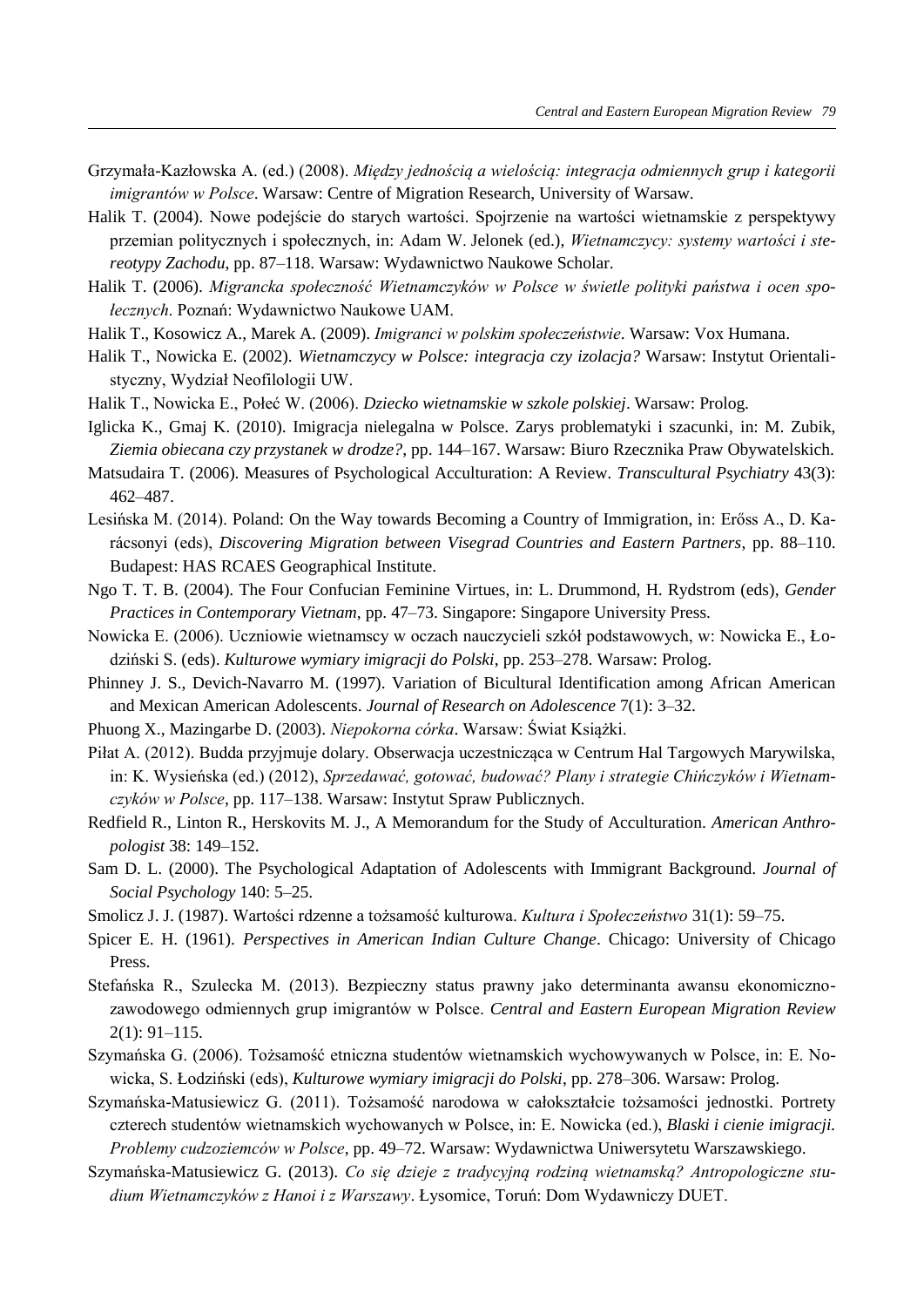- Grzymała-Kazłowska A. (ed.) (2008). *Między jednością a wielością: integracja odmiennych grup i kategorii imigrantów w Polsce*. Warsaw: Centre of Migration Research, University of Warsaw.
- Halik T. (2004). Nowe podejście do starych wartości. Spojrzenie na wartości wietnamskie z perspektywy przemian politycznych i społecznych, in: Adam W. Jelonek (ed.), *Wietnamczycy: systemy wartości i stereotypy Zachodu*, pp. 87–118. Warsaw: Wydawnictwo Naukowe Scholar.
- Halik T. (2006). *Migrancka społeczność Wietnamczyków w Polsce w świetle polityki państwa i ocen społecznych*. Poznań: Wydawnictwo Naukowe UAM.
- Halik T., Kosowicz A., Marek A. (2009). *Imigranci w polskim społeczeństwie*. Warsaw: Vox Humana.
- Halik T., Nowicka E. (2002). *Wietnamczycy w Polsce: integracja czy izolacja?* Warsaw: Instytut Orientalistyczny, Wydział Neofilologii UW.
- Halik T., Nowicka E., Połeć W. (2006). *Dziecko wietnamskie w szkole polskiej*. Warsaw: Prolog.
- Iglicka K., Gmaj K. (2010). Imigracja nielegalna w Polsce. Zarys problematyki i szacunki, in: M. Zubik, *Ziemia obiecana czy przystanek w drodze?*, pp. 144–167. Warsaw: Biuro Rzecznika Praw Obywatelskich.
- Matsudaira T. (2006). Measures of Psychological Acculturation: A Review*. Transcultural Psychiatry* 43(3): 462–487.
- Lesińska M. (2014). Poland: On the Way towards Becoming a Country of Immigration, in: Erőss A., D. Karácsonyi (eds), *Discovering Migration between Visegrad Countries and Eastern Partners*, pp. 88–110. Budapest: HAS RCAES Geographical Institute.
- Ngo T. T. B. (2004). The Four Confucian Feminine Virtues, in: L. Drummond, H. Rydstrom (eds), *Gender Practices in Contemporary Vietnam*, pp. 47–73. Singapore: Singapore University Press.
- Nowicka E. (2006). Uczniowie wietnamscy w oczach nauczycieli szkół podstawowych, w: Nowicka E., Łodziński S. (eds). *Kulturowe wymiary imigracji do Polski*, pp. 253–278. Warsaw: Prolog.
- Phinney J. S., Devich-Navarro M. (1997). Variation of Bicultural Identification among African American and Mexican American Adolescents. *Journal of Research on Adolescence* 7(1): 3–32.
- Phuong X., Mazingarbe D. (2003). *Niepokorna córka*. Warsaw: Świat Książki.
- Piłat A. (2012). Budda przyjmuje dolary. Obserwacja uczestnicząca w Centrum Hal Targowych Marywilska, in: K. Wysieńska (ed.) (2012), *Sprzedawać, gotować, budować? Plany i strategie Chińczyków i Wietnamczyków w Polsce*, pp. 117–138. Warsaw: Instytut Spraw Publicznych.
- Redfield R., Linton R., Herskovits M. J., A Memorandum for the Study of Acculturation. *American Anthropologist* 38: 149–152.
- Sam D. L. (2000). The Psychological Adaptation of Adolescents with Immigrant Background. *Journal of Social Psychology* 140: 5–25.
- Smolicz J. J. (1987). Wartości rdzenne a tożsamość kulturowa. *Kultura i Społeczeństwo* 31(1): 59–75.
- Spicer E. H. (1961). *Perspectives in American Indian Culture Change*. Chicago: University of Chicago Press.
- Stefańska R., Szulecka M. (2013). Bezpieczny status prawny jako determinanta awansu ekonomicznozawodowego odmiennych grup imigrantów w Polsce. *Central and Eastern European Migration Review*  2(1): 91–115.
- Szymańska G. (2006). Tożsamość etniczna studentów wietnamskich wychowywanych w Polsce, in: E. Nowicka, S. Łodziński (eds), *Kulturowe wymiary imigracji do Polski*, pp. 278–306. Warsaw: Prolog.
- Szymańska-Matusiewicz G. (2011). Tożsamość narodowa w całokształcie tożsamości jednostki. Portrety czterech studentów wietnamskich wychowanych w Polsce, in: E. Nowicka (ed.), *Blaski i cienie imigracji. Problemy cudzoziemców w Polsce*, pp. 49–72. Warsaw: Wydawnictwa Uniwersytetu Warszawskiego.
- Szymańska-Matusiewicz G. (2013). *Co się dzieje z tradycyjną rodziną wietnamską? Antropologiczne stu*dium Wietnamczyków z Hanoi i z Warszawy. Łysomice, Toruń: Dom Wydawniczy DUET.